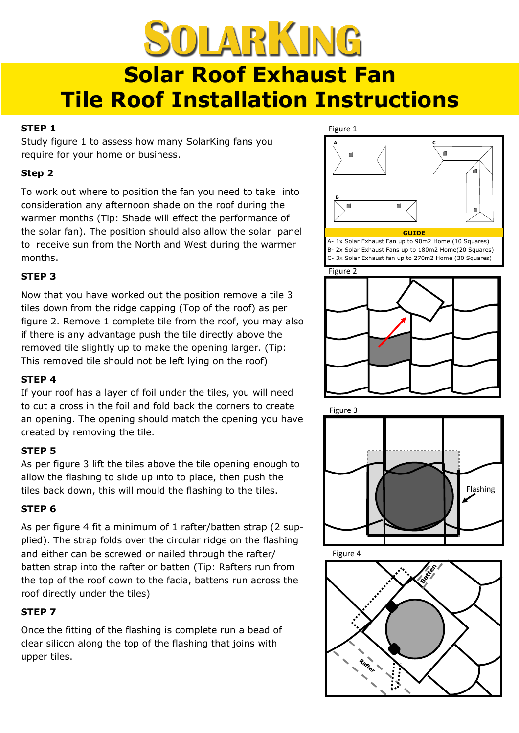# SOLARKING **Solar Roof Exhaust Fan Tile Roof Installation Instructions**

## **STEP 1**

Study figure 1 to assess how many SolarKing fans you require for your home or business.

# **Step 2**

To work out where to position the fan you need to take into consideration any afternoon shade on the roof during the warmer months (Tip: Shade will effect the performance of the solar fan). The position should also allow the solar panel to receive sun from the North and West during the warmer months.

# **STEP 3**

Now that you have worked out the position remove a tile 3 tiles down from the ridge capping (Top of the roof) as per figure 2. Remove 1 complete tile from the roof, you may also if there is any advantage push the tile directly above the removed tile slightly up to make the opening larger. (Tip: This removed tile should not be left lying on the roof)

## **STEP 4**

If your roof has a layer of foil under the tiles, you will need to cut a cross in the foil and fold back the corners to create an opening. The opening should match the opening you have created by removing the tile.

## **STEP 5**

As per figure 3 lift the tiles above the tile opening enough to allow the flashing to slide up into to place, then push the tiles back down, this will mould the flashing to the tiles.

# **STEP 6**

As per figure 4 fit a minimum of 1 rafter/batten strap (2 supplied). The strap folds over the circular ridge on the flashing and either can be screwed or nailed through the rafter/ batten strap into the rafter or batten (Tip: Rafters run from the top of the roof down to the facia, battens run across the roof directly under the tiles)

# **STEP 7**

Once the fitting of the flashing is complete run a bead of clear silicon along the top of the flashing that joins with upper tiles.



#### **GUIDE**

A- 1x Solar Exhaust Fan up to 90m2 Home (10 Squares) B- 2x Solar Exhaust Fans up to 180m2 Home(20 Squares) C- 3x Solar Exhaust fan up to 270m2 Home (30 Squares)





Figure 3



Figure 4